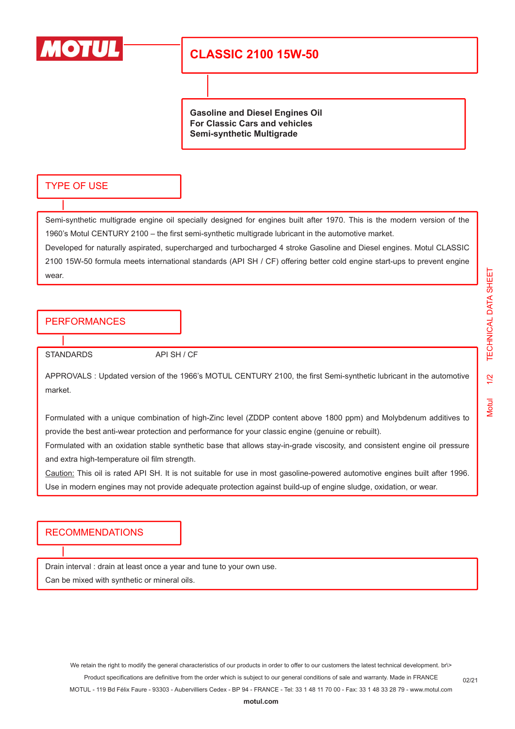

# **CLASSIC 2100 15W-50**

**Gasoline and Diesel Engines Oil For Classic Cars and vehicles Semi-synthetic Multigrade**

#### TYPE OF USE

Semi-synthetic multigrade engine oil specially designed for engines built after 1970. This is the modern version of the 1960's Motul CENTURY 2100 – the first semi-synthetic multigrade lubricant in the automotive market.

Developed for naturally aspirated, supercharged and turbocharged 4 stroke Gasoline and Diesel engines. Motul CLASSIC 2100 15W-50 formula meets international standards (API SH / CF) offering better cold engine start-ups to prevent engine wear.

### PERFORMANCES

STANDARDS API SH / CF

APPROVALS : Updated version of the 1966's MOTUL CENTURY 2100, the first Semi-synthetic lubricant in the automotive market.

Formulated with a unique combination of high-Zinc level (ZDDP content above 1800 ppm) and Molybdenum additives to provide the best anti-wear protection and performance for your classic engine (genuine or rebuilt).

Formulated with an oxidation stable synthetic base that allows stay-in-grade viscosity, and consistent engine oil pressure and extra high-temperature oil film strength.

Caution: This oil is rated API SH. It is not suitable for use in most gasoline-powered automotive engines built after 1996. Use in modern engines may not provide adequate protection against build-up of engine sludge, oxidation, or wear.

#### RECOMMENDATIONS

Drain interval : drain at least once a year and tune to your own use.

Can be mixed with synthetic or mineral oils.